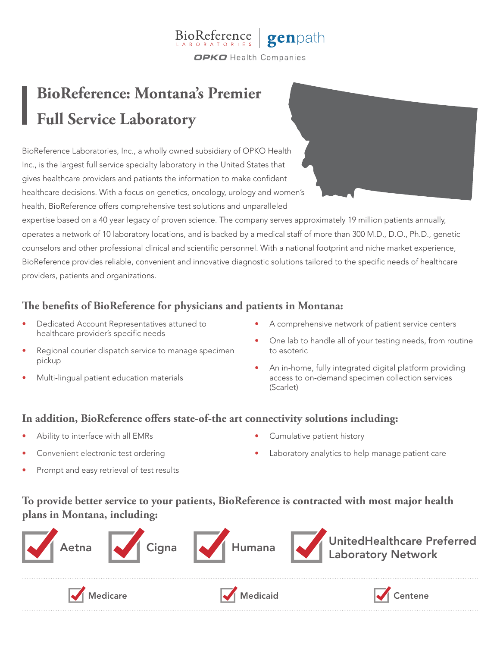

# **BioReference: Montana's Premier Full Service Laboratory**

BioReference Laboratories, Inc., a wholly owned subsidiary of OPKO Health Inc., is the largest full service specialty laboratory in the United States that gives healthcare providers and patients the information to make confident healthcare decisions. With a focus on genetics, oncology, urology and women's health, BioReference offers comprehensive test solutions and unparalleled

expertise based on a 40 year legacy of proven science. The company serves approximately 19 million patients annually, operates a network of 10 laboratory locations, and is backed by a medical staff of more than 300 M.D., D.O., Ph.D., genetic counselors and other professional clinical and scientific personnel. With a national footprint and niche market experience, BioReference provides reliable, convenient and innovative diagnostic solutions tailored to the specific needs of healthcare providers, patients and organizations.

## **The benefits of BioReference for physicians and patients in Montana:**

- Dedicated Account Representatives attuned to healthcare provider's specific needs
- Regional courier dispatch service to manage specimen pickup
- Multi-lingual patient education materials
- A comprehensive network of patient service centers
- One lab to handle all of your testing needs, from routine to esoteric
- An in-home, fully integrated digital platform providing access to on-demand specimen collection services (Scarlet)

#### **In addition, BioReference offers state-of-the art connectivity solutions including:**

- Ability to interface with all EMRs
- Convenient electronic test ordering
- Prompt and easy retrieval of test results
- Cumulative patient history
- Laboratory analytics to help manage patient care

# **To provide better service to your patients, BioReference is contracted with most major health plans in Montana, including:**